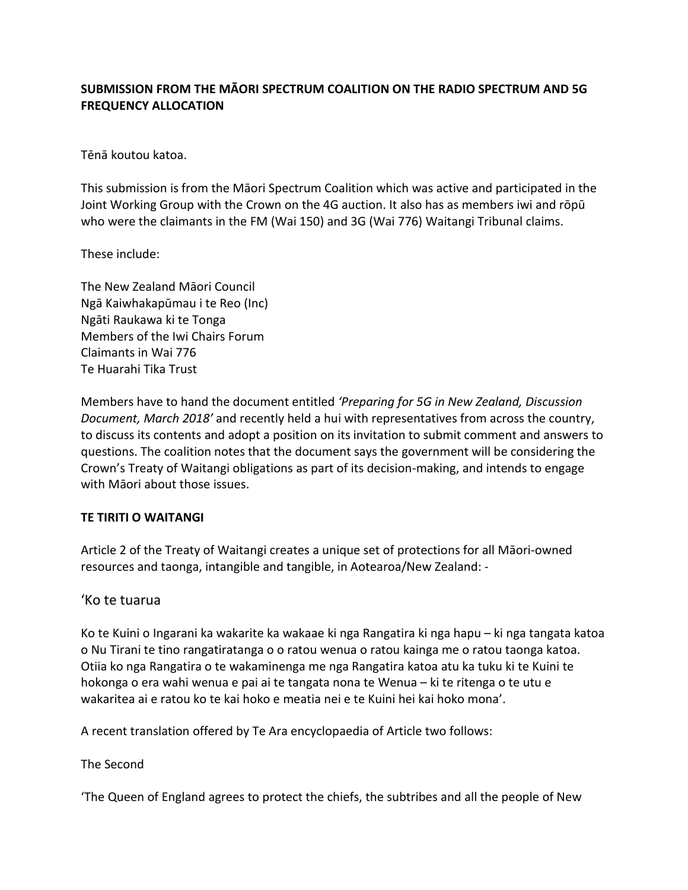## **SUBMISSION FROM THE MĀORI SPECTRUM COALITION ON THE RADIO SPECTRUM AND 5G FREQUENCY ALLOCATION**

Tēnā koutou katoa.

This submission is from the Māori Spectrum Coalition which was active and participated in the Joint Working Group with the Crown on the 4G auction. It also has as members iwi and rōpū who were the claimants in the FM (Wai 150) and 3G (Wai 776) Waitangi Tribunal claims.

These include:

The New Zealand Māori Council Ngā Kaiwhakapūmau i te Reo (Inc) Ngāti Raukawa ki te Tonga Members of the Iwi Chairs Forum Claimants in Wai 776 Te Huarahi Tika Trust

Members have to hand the document entitled *'Preparing for 5G in New Zealand, Discussion Document, March 2018'* and recently held a hui with representatives from across the country, to discuss its contents and adopt a position on its invitation to submit comment and answers to questions. The coalition notes that the document says the government will be considering the Crown's Treaty of Waitangi obligations as part of its decision-making, and intends to engage with Māori about those issues.

## **TE TIRITI O WAITANGI**

Article 2 of the Treaty of Waitangi creates a unique set of protections for all Māori-owned resources and taonga, intangible and tangible, in Aotearoa/New Zealand: -

## 'Ko te tuarua

Ko te Kuini o Ingarani ka wakarite ka wakaae ki nga Rangatira ki nga hapu – ki nga tangata katoa o Nu Tirani te tino rangatiratanga o o ratou wenua o ratou kainga me o ratou taonga katoa. Otiia ko nga Rangatira o te wakaminenga me nga Rangatira katoa atu ka tuku ki te Kuini te hokonga o era wahi wenua e pai ai te tangata nona te Wenua – ki te ritenga o te utu e wakaritea ai e ratou ko te kai hoko e meatia nei e te Kuini hei kai hoko mona'.

A recent translation offered by Te Ara encyclopaedia of Article two follows:

The Second

'The Queen of England agrees to protect the chiefs, the subtribes and all the people of New